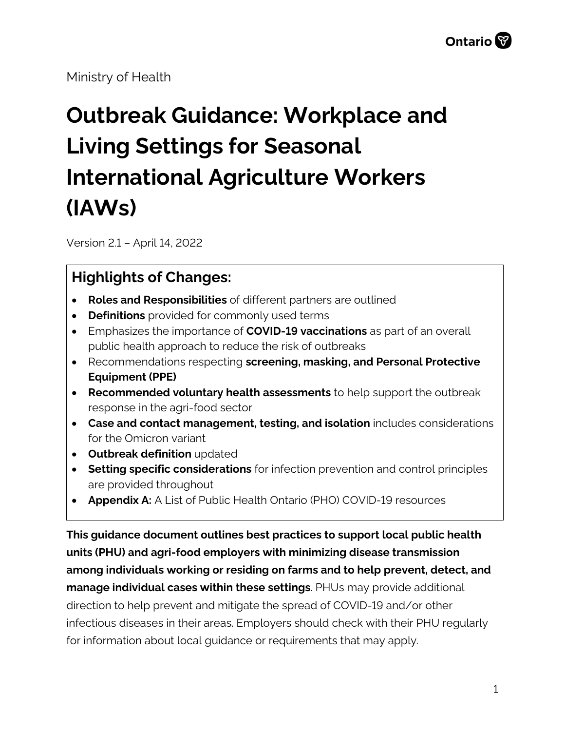Ministry of Health

# **Outbreak Guidance: Workplace and Living Settings for Seasonal International Agriculture Workers (IAWs)**

Version 2.1 – April 14, 2022

## **Highlights of Changes:**

- **Roles and Responsibilities** of different partners are outlined
- **Definitions** provided for commonly used terms
- Emphasizes the importance of **COVID-19 vaccinations** as part of an overall public health approach to reduce the risk of outbreaks
- Recommendations respecting **screening, masking, and Personal Protective Equipment (PPE)**
- **Recommended voluntary health assessments** to help support the outbreak response in the agri-food sector
- **Case and contact management, testing, and isolation** includes considerations for the Omicron variant
- **Outbreak definition** updated
- **Setting specific considerations** for infection prevention and control principles are provided throughout
- **Appendix A:** A List of Public Health Ontario (PHO) COVID-19 resources

**This guidance document outlines best practices to support local public health units (PHU) and agri-food employers with minimizing disease transmission among individuals working or residing on farms and to help prevent, detect, and manage individual cases within these settings**. PHUs may provide additional direction to help prevent and mitigate the spread of COVID-19 and/or other infectious diseases in their areas. Employers should check with their PHU regularly for information about local guidance or requirements that may apply.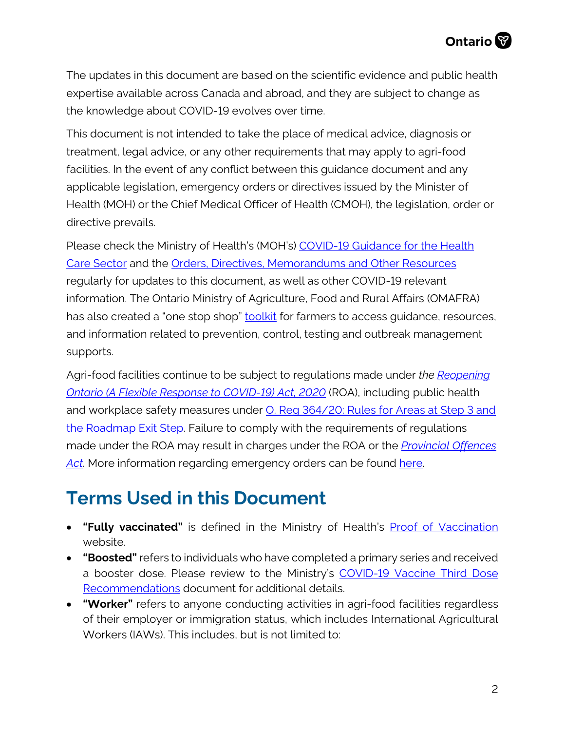The updates in this document are based on the scientific evidence and public health expertise available across Canada and abroad, and they are subject to change as the knowledge about COVID-19 evolves over time.

This document is not intended to take the place of medical advice, diagnosis or treatment, legal advice, or any other requirements that may apply to agri-food facilities. In the event of any conflict between this guidance document and any applicable legislation, emergency orders or directives issued by the Minister of Health (MOH) or the Chief Medical Officer of Health (CMOH), the legislation, order or directive prevails.

Please check the Ministry of Health's (MOH's) [COVID-19 Guidance for the Health](http://www.health.gov.on.ca/en/pro/programs/publichealth/coronavirus/2019_guidance.aspx)  [Care Sector](http://www.health.gov.on.ca/en/pro/programs/publichealth/coronavirus/2019_guidance.aspx) and the [Orders, Directives, Memorandums and Other Resources](http://www.health.gov.on.ca/en/pro/programs/publichealth/coronavirus/dir_mem_res.aspx) regularly for updates to this document, as well as other COVID-19 relevant information. The Ontario Ministry of Agriculture, Food and Rural Affairs (OMAFRA) has also created a "one stop shop" **toolkit** for farmers to access guidance, resources, and information related to prevention, control, testing and outbreak management supports.

Agri-food facilities continue to be subject to regulations made under *the [Reopening](https://www.ontario.ca/laws/statute/20r17)  [Ontario \(A Flexible Response to COVID-19\) Act, 2020](https://www.ontario.ca/laws/statute/20r17)* (ROA), including public health and workplace safety measures under O. Reg 364/20: Rules for Areas at Step 3 and [the Roadmap Exit Step.](https://www.ontario.ca/laws/regulation/200364) Failure to comply with the requirements of regulations made under the ROA may result in charges under the ROA or the *[Provincial Offences](https://www.ontario.ca/laws/statute/90p33)*  [Act.](https://www.ontario.ca/laws/statute/90p33) More information regarding emergency orders can be found [here.](https://www.ontario.ca/page/emergency-information)

## **Terms Used in this Document**

- **"Fully vaccinated"** is defined in the Ministry of Health's **[Proof of Vaccination](https://covid-19.ontario.ca/proof-covid-19-vaccination)** website.
- **"Boosted"** refers to individuals who have completed a primary series and received a booster dose. Please review to the Ministry's COVID-19 Vaccine Third Dose [Recommendations](https://www.health.gov.on.ca/en/pro/programs/publichealth/coronavirus/docs/vaccine/COVID-19_vaccine_third_dose_recommendations.pdf) document for additional details.
- **"Worker"** refers to anyone conducting activities in agri-food facilities regardless of their employer or immigration status, which includes International Agricultural Workers (IAWs). This includes, but is not limited to: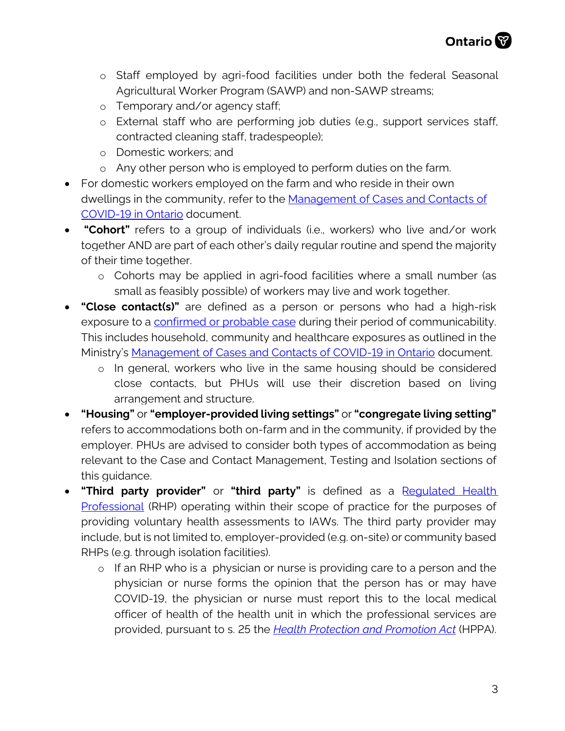- o Staff employed by agri-food facilities under both the federal Seasonal Agricultural Worker Program (SAWP) and non-SAWP streams;
- o Temporary and/or agency staff;
- o External staff who are performing job duties (e.g., support services staff, contracted cleaning staff, tradespeople);
- o Domestic workers; and
- o Any other person who is employed to perform duties on the farm.
- For domestic workers employed on the farm and who reside in their own dwellings in the community, refer to the [Management of Cases and Contacts of](https://www.health.gov.on.ca/en/pro/programs/publichealth/coronavirus/docs/contact_mngmt/management_cases_contacts.pdf) [COVID-19 in Ontario](https://www.health.gov.on.ca/en/pro/programs/publichealth/coronavirus/docs/contact_mngmt/management_cases_contacts.pdf) document.
- **"Cohort"** refers to a group of individuals (i.e., workers) who live and/or work together AND are part of each other's daily regular routine and spend the majority of their time together.
	- o Cohorts may be applied in agri-food facilities where a small number (as small as feasibly possible) of workers may live and work together.
- **"Close contact(s)"** are defined as a person or persons who had a high-risk exposure to a [confirmed or probable case](https://www.health.gov.on.ca/en/pro/programs/publichealth/coronavirus/docs/2019_case_definition.pdf) during their period of communicability. This includes household, community and healthcare exposures as outlined in the Ministry's [Management of Cases and Contacts of COVID-19 in Ontario](https://www.health.gov.on.ca/en/pro/programs/publichealth/coronavirus/docs/contact_mngmt/management_cases_contacts.pdf) document.
	- o In general, workers who live in the same housing should be considered close contacts, but PHUs will use their discretion based on living arrangement and structure.
- **"Housing"** or **"employer-provided living settings"** or **"congregate living setting"** refers to accommodations both on-farm and in the community, if provided by the employer. PHUs are advised to consider both types of accommodation as being relevant to the Case and Contact Management, Testing and Isolation sections of this quidance.
- **"Third party provider"** or **"third party"** is defined as a [Regulated Health](https://www.health.gov.on.ca/en/pro/programs/hhrsd/about/regulated_professions.aspx) [Professional](https://www.health.gov.on.ca/en/pro/programs/hhrsd/about/regulated_professions.aspx) (RHP) operating within their scope of practice for the purposes of providing voluntary health assessments to IAWs. The third party provider may include, but is not limited to, employer-provided (e.g. on-site) or community based RHPs (e.g. through isolation facilities).
	- o If an RHP who is a physician or nurse is providing care to a person and the physician or nurse forms the opinion that the person has or may have COVID-19, the physician or nurse must report this to the local medical officer of health of the health unit in which the professional services are provided, pursuant to s. 25 the *H[ealth Protection and Promotion Act](https://www.ontario.ca/laws/regulation/200364)* (HPPA).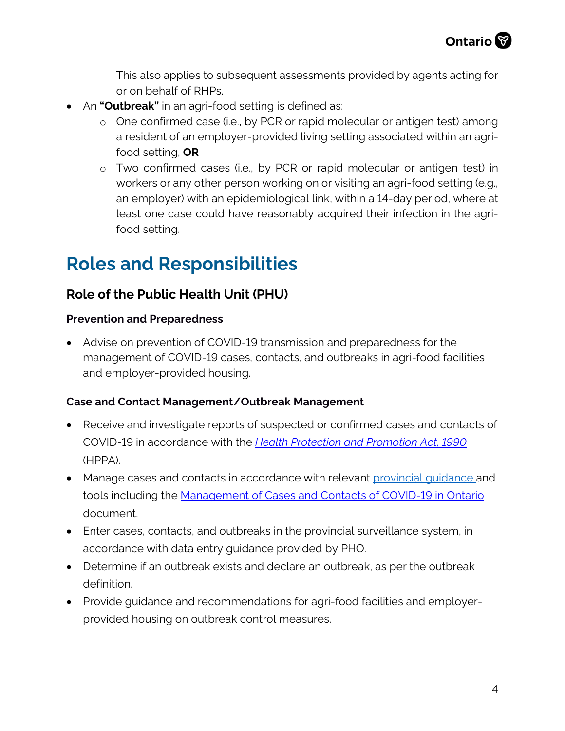This also applies to subsequent assessments provided by agents acting for or on behalf of RHPs.

- An **"Outbreak"** in an agri-food setting is defined as:
	- o One confirmed case (i.e., by PCR or rapid molecular or antigen test) among a resident of an employer-provided living setting associated within an agrifood setting, **OR**
	- o Two confirmed cases (i.e., by PCR or rapid molecular or antigen test) in workers or any other person working on or visiting an agri-food setting (e.g., an employer) with an epidemiological link, within a 14-day period, where at least one case could have reasonably acquired their infection in the agrifood setting.

## **Roles and Responsibilities**

#### **Role of the Public Health Unit (PHU)**

#### **Prevention and Preparedness**

• Advise on prevention of COVID-19 transmission and preparedness for the management of COVID-19 cases, contacts, and outbreaks in agri-food facilities and employer-provided housing.

#### **Case and Contact Management/Outbreak Management**

- Receive and investigate reports of suspected or confirmed cases and contacts of COVID-19 in accordance with the *[Health Protection and Promotion Act, 1990](https://www.ontario.ca/laws/statute/90h07)* (HPPA).
- Manage cases and contacts in accordance with relevant provincial quidance and tools including the [Management of Cases and Contacts of COVID-19 in Ontario](https://www.health.gov.on.ca/en/pro/programs/publichealth/coronavirus/docs/contact_mngmt/management_cases_contacts.pdf) document.
- Enter cases, contacts, and outbreaks in the provincial surveillance system, in accordance with data entry guidance provided by PHO.
- Determine if an outbreak exists and declare an outbreak, as per the outbreak definition.
- Provide guidance and recommendations for agri-food facilities and employerprovided housing on outbreak control measures.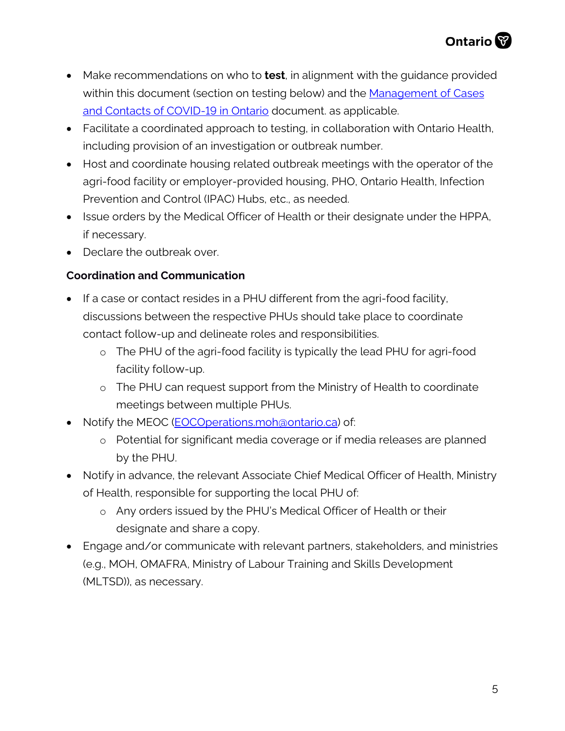- Make recommendations on who to **test**, in alignment with the guidance provided within this document (section on testing below) and the [Management of Cases](https://www.health.gov.on.ca/en/pro/programs/publichealth/coronavirus/docs/contact_mngmt/management_cases_contacts.pdf)  [and Contacts of COVID-19 in Ontario](https://www.health.gov.on.ca/en/pro/programs/publichealth/coronavirus/docs/contact_mngmt/management_cases_contacts.pdf) document. as applicable.
- Facilitate a coordinated approach to testing, in collaboration with Ontario Health, including provision of an investigation or outbreak number.
- Host and coordinate housing related outbreak meetings with the operator of the agri-food facility or employer-provided housing, PHO, Ontario Health, Infection Prevention and Control (IPAC) Hubs, etc., as needed.
- Issue orders by the Medical Officer of Health or their designate under the HPPA, if necessary.
- Declare the outbreak over.

#### **Coordination and Communication**

- If a case or contact resides in a PHU different from the agri-food facility, discussions between the respective PHUs should take place to coordinate contact follow-up and delineate roles and responsibilities.
	- o The PHU of the agri-food facility is typically the lead PHU for agri-food facility follow-up.
	- o The PHU can request support from the Ministry of Health to coordinate meetings between multiple PHUs.
- Notify the MEOC [\(EOCOperations.moh@ontario.ca\)](mailto:EOCOperations.moh@ontario.ca) of:
	- o Potential for significant media coverage or if media releases are planned by the PHU.
- Notify in advance, the relevant Associate Chief Medical Officer of Health, Ministry of Health, responsible for supporting the local PHU of:
	- o Any orders issued by the PHU's Medical Officer of Health or their designate and share a copy.
- Engage and/or communicate with relevant partners, stakeholders, and ministries (e.g., MOH, OMAFRA, Ministry of Labour Training and Skills Development (MLTSD)), as necessary.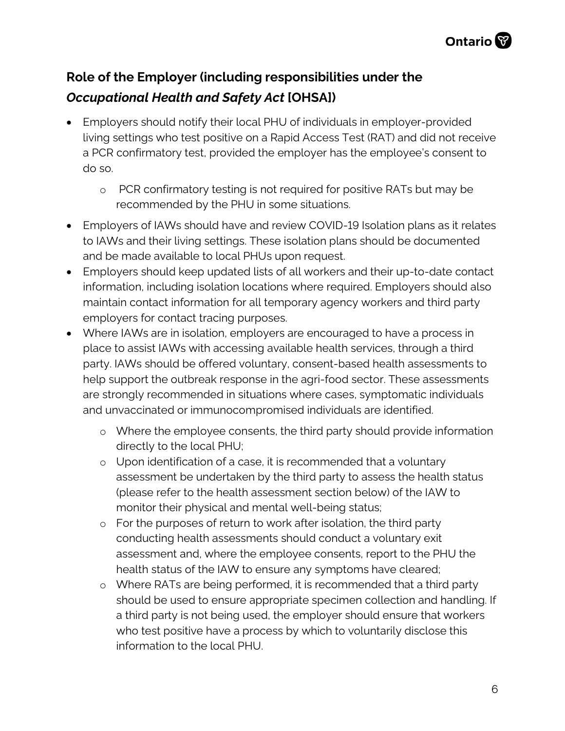## **Role of the Employer (including responsibilities under the**  *Occupational Health and Safety Act* **[OHSA])**

- Employers should notify their local PHU of individuals in employer-provided living settings who test positive on a Rapid Access Test (RAT) and did not receive a PCR confirmatory test, provided the employer has the employee's consent to do so.
	- o PCR confirmatory testing is not required for positive RATs but may be recommended by the PHU in some situations.
- Employers of IAWs should have and review COVID-19 Isolation plans as it relates to IAWs and their living settings. These isolation plans should be documented and be made available to local PHUs upon request.
- Employers should keep updated lists of all workers and their up-to-date contact information, including isolation locations where required. Employers should also maintain contact information for all temporary agency workers and third party employers for contact tracing purposes.
- Where IAWs are in isolation, employers are encouraged to have a process in place to assist IAWs with accessing available health services, through a third party. IAWs should be offered voluntary, consent-based health assessments to help support the outbreak response in the agri-food sector. These assessments are strongly recommended in situations where cases, symptomatic individuals and unvaccinated or immunocompromised individuals are identified.
	- o Where the employee consents, the third party should provide information directly to the local PHU;
	- o Upon identification of a case, it is recommended that a voluntary assessment be undertaken by the third party to assess the health status (please refer to the health assessment section below) of the IAW to monitor their physical and mental well-being status;
	- o For the purposes of return to work after isolation, the third party conducting health assessments should conduct a voluntary exit assessment and, where the employee consents, report to the PHU the health status of the IAW to ensure any symptoms have cleared;
	- o Where RATs are being performed, it is recommended that a third party should be used to ensure appropriate specimen collection and handling. If a third party is not being used, the employer should ensure that workers who test positive have a process by which to voluntarily disclose this information to the local PHU.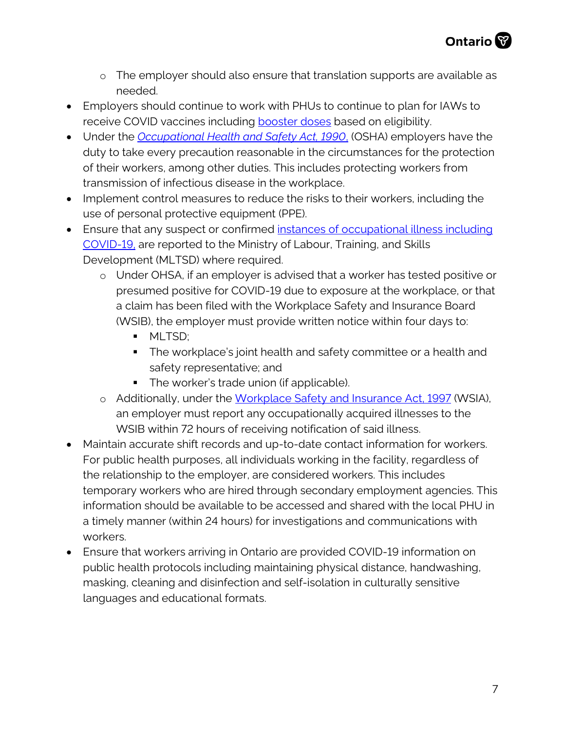- o The employer should also ensure that translation supports are available as needed.
- Employers should continue to work with PHUs to continue to plan for IAWs to receive COVID vaccines including **booster doses** based on eligibility.
- Under the *[Occupational Health and Safety Act, 1990](https://www.ontario.ca/laws/statute/90o01?_ga=2.261143885.1197634669.1587061765-1497916968.1587061765)*, (OSHA) employers have the duty to take every precaution reasonable in the circumstances for the protection of their workers, among other duties. This includes protecting workers from transmission of infectious disease in the workplace.
- Implement control measures to reduce the risks to their workers, including the use of personal protective equipment (PPE).
- Ensure that any suspect or confirmed [instances of occupational illness](https://www.ontario.ca/page/reporting-workplace-incidents-and-illnesses) including [COVID-19,](https://www.ontario.ca/page/reporting-workplace-incidents-and-illnesses) are reported to the Ministry of Labour, Training, and Skills Development (MLTSD) where required.
	- o Under OHSA, if an employer is advised that a worker has tested positive or presumed positive for COVID-19 due to exposure at the workplace, or that a claim has been filed with the Workplace Safety and Insurance Board (WSIB), the employer must provide written notice within four days to:
		- **MLTSD:**
		- **The workplace's joint health and safety committee or a health and** safety representative; and
		- The worker's trade union (if applicable).
	- o Additionally, under the [Workplace Safety and Insurance Act, 1997](https://www.ontario.ca/laws/statute/97w16#BK23) (WSIA), an employer must report any occupationally acquired illnesses to the WSIB within 72 hours of receiving notification of said illness.
- Maintain accurate shift records and up-to-date contact information for workers. For public health purposes, all individuals working in the facility, regardless of the relationship to the employer, are considered workers. This includes temporary workers who are hired through secondary employment agencies. This information should be available to be accessed and shared with the local PHU in a timely manner (within 24 hours) for investigations and communications with workers.
- Ensure that workers arriving in Ontario are provided COVID-19 information on public health protocols including maintaining physical distance, handwashing, masking, cleaning and disinfection and self-isolation in culturally sensitive languages and educational formats.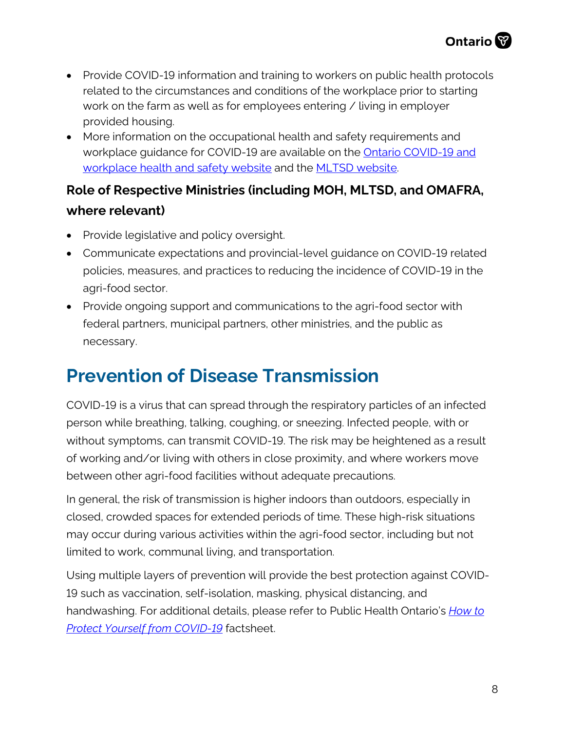- Provide COVID-19 information and training to workers on public health protocols related to the circumstances and conditions of the workplace prior to starting work on the farm as well as for employees entering / living in employer provided housing.
- More information on the occupational health and safety requirements and workplace guidance for COVID-19 are available on the **Ontario COVID-19 and** [workplace health and safety website](https://www.ontario.ca/page/covid-19-workplace-health-safety) and the [MLTSD website.](https://www.ontario.ca/page/covid-19-workplace-health-safety)

## **Role of Respective Ministries (including MOH, MLTSD, and OMAFRA, where relevant)**

- Provide legislative and policy oversight.
- Communicate expectations and provincial-level guidance on COVID-19 related policies, measures, and practices to reducing the incidence of COVID-19 in the agri-food sector.
- Provide ongoing support and communications to the agri-food sector with federal partners, municipal partners, other ministries, and the public as necessary.

## **Prevention of Disease Transmission**

COVID-19 is a virus that can spread through the respiratory particles of an infected person while breathing, talking, coughing, or sneezing. Infected people, with or without symptoms, can transmit COVID-19. The risk may be heightened as a result of working and/or living with others in close proximity, and where workers move between other agri-food facilities without adequate precautions.

In general, the risk of transmission is higher indoors than outdoors, especially in closed, crowded spaces for extended periods of time. These high-risk situations may occur during various activities within the agri-food sector, including but not limited to work, communal living, and transportation.

Using multiple layers of prevention will provide the best protection against COVID-19 such as vaccination, self-isolation, masking, physical distancing, and handwashing. For additional details, please refer to Public Health Ontario's *[How to](https://www.publichealthontario.ca/-/media/documents/ncov/factsheet/2021/06/lp/fact-sheet-covid-19-preventive-layers.pdf?la=en&sc_lang=en)  [Protect Yourself from COVID-19](https://www.publichealthontario.ca/-/media/documents/ncov/factsheet/2021/06/lp/fact-sheet-covid-19-preventive-layers.pdf?la=en&sc_lang=en)* factsheet.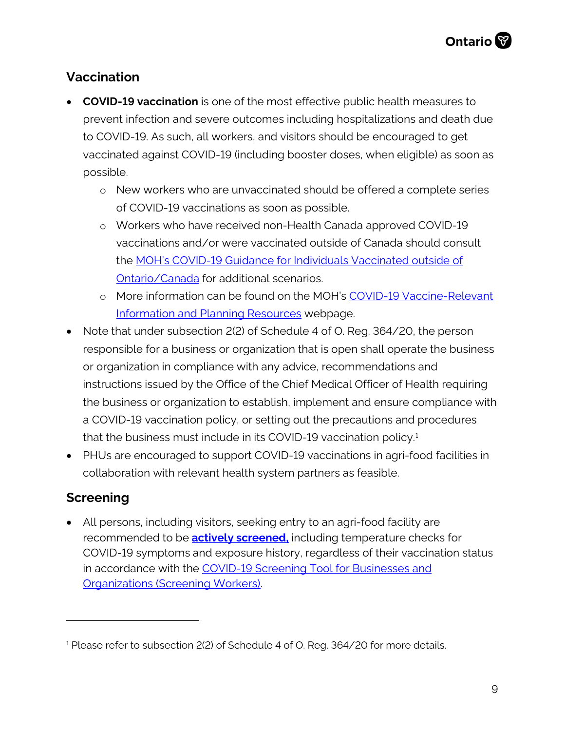### **Vaccination**

- **COVID-19 vaccination** is one of the most effective public health measures to prevent infection and severe outcomes including hospitalizations and death due to COVID-19. As such, all workers, and visitors should be encouraged to get vaccinated against COVID-19 (including booster doses, when eligible) as soon as possible.
	- o New workers who are unvaccinated should be offered a complete series of COVID-19 vaccinations as soon as possible.
	- o Workers who have received non-Health Canada approved COVID-19 vaccinations and/or were vaccinated outside of Canada should consult the [MOH's COVID-19 Guidance for Individuals Vaccinated outside of](https://www.health.gov.on.ca/en/pro/programs/publichealth/coronavirus/docs/vaccine/COVID-19_guidance_for_individuals_vaccinated_outside_of_ontario.pdf/)  [Ontario/Canada](https://www.health.gov.on.ca/en/pro/programs/publichealth/coronavirus/docs/vaccine/COVID-19_guidance_for_individuals_vaccinated_outside_of_ontario.pdf/) for additional scenarios.
	- o More information can be found on the MOH's [COVID-19 Vaccine-Relevant](https://www.health.gov.on.ca/en/pro/programs/publichealth/coronavirus/covid19_vaccine.aspx)  [Information and Planning Resources](https://www.health.gov.on.ca/en/pro/programs/publichealth/coronavirus/covid19_vaccine.aspx) webpage.
- Note that under subsection 2(2) of Schedule 4 of O. Reg. 364/20, the person responsible for a business or organization that is open shall operate the business or organization in compliance with any advice, recommendations and instructions issued by the Office of the Chief Medical Officer of Health requiring the business or organization to establish, implement and ensure compliance with a COVID-19 vaccination policy, or setting out the precautions and procedures that the business must include in its COVID-[1](#page-8-0)9 vaccination policy. $1$
- PHUs are encouraged to support COVID-19 vaccinations in agri-food facilities in collaboration with relevant health system partners as feasible.

### **Screening**

• All persons, including visitors, seeking entry to an agri-food facility are recommended to be **[actively](https://www.ontario.ca/page/screening-covid-19-guidance-employers) screened,** including temperature checks for COVID-19 symptoms and exposure history, regardless of their vaccination status in accordance with the COVID-19 Screening Tool for Businesses and [Organizations \(Screening Workers\).](https://covid-19.ontario.ca/covid19-cms-assets/2021-10/EN_Worker_Screening_v10_Oct25.pdf)

<span id="page-8-0"></span><sup>&</sup>lt;sup>1</sup> Please refer to subsection 2(2) of Schedule 4 of O. Reg. 364/20 for more details.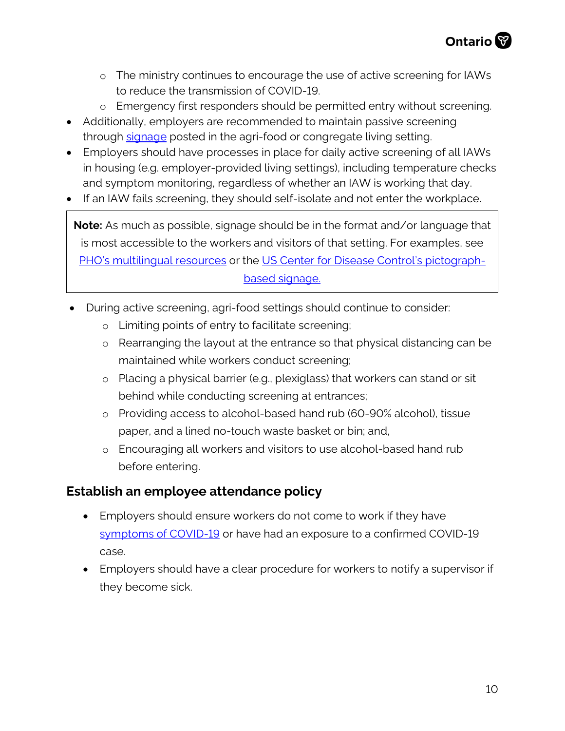- o The ministry continues to encourage the use of active screening for IAWs to reduce the transmission of COVID-19.
- o Emergency first responders should be permitted entry without screening.
- Additionally, employers are recommended to maintain passive screening through [signage](http://www.health.gov.on.ca/en/pro/programs/publichealth/coronavirus/2019_guidance.aspx) posted in the agri-food or congregate living setting.
- Employers should have processes in place for daily active screening of all IAWs in housing (e.g. employer-provided living settings), including temperature checks and symptom monitoring, regardless of whether an IAW is working that day.
- If an IAW fails screening, they should self-isolate and not enter the workplace.

**Note:** As much as possible, signage should be in the format and/or language that is most accessible to the workers and visitors of that setting. For examples, see [PHO's multilingual resources](https://www.publichealthontario.ca/en/diseases-and-conditions/infectious-diseases/respiratory-diseases/novel-coronavirus/public-resources) or the [US Center for Disease Control's pictograph](https://www.cdc.gov/coronavirus/2019-ncov/downloads/COVID19-symptoms.pdf)[based signage.](https://www.cdc.gov/coronavirus/2019-ncov/downloads/COVID19-symptoms.pdf)

- During active screening, agri-food settings should continue to consider:
	- o Limiting points of entry to facilitate screening;
	- o Rearranging the layout at the entrance so that physical distancing can be maintained while workers conduct screening;
	- o Placing a physical barrier (e.g., plexiglass) that workers can stand or sit behind while conducting screening at entrances;
	- o Providing access to alcohol-based hand rub (60-90% alcohol), tissue paper, and a lined no-touch waste basket or bin; and,
	- o Encouraging all workers and visitors to use alcohol-based hand rub before entering.

#### **Establish an employee attendance policy**

- Employers should ensure workers do not come to work if they have [symptoms of COVID-19](https://www.health.gov.on.ca/en/pro/programs/publichealth/coronavirus/docs/2019_reference_doc_symptoms.pdf) or have had an exposure to a confirmed COVID-19 case.
- Employers should have a clear procedure for workers to notify a supervisor if they become sick.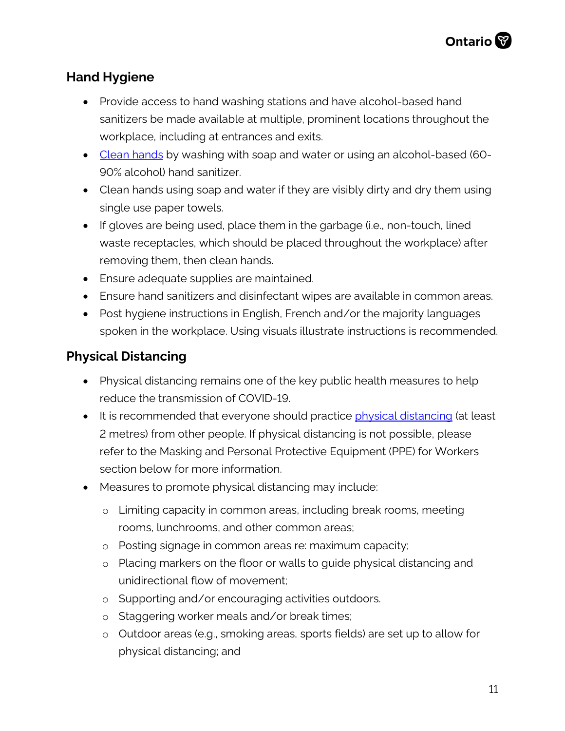### **Hand Hygiene**

- Provide access to hand washing stations and have alcohol-based hand sanitizers be made available at multiple, prominent locations throughout the workplace, including at entrances and exits.
- [Clean hands](https://www.publichealthontario.ca/-/media/documents/ncov/factsheet/factsheet-covid-19-hand-hygiene.pdf?la=en) by washing with soap and water or using an alcohol-based (60-90% alcohol) hand sanitizer.
- Clean hands using soap and water if they are visibly dirty and dry them using single use paper towels.
- If gloves are being used, place them in the garbage (i.e., non-touch, lined waste receptacles, which should be placed throughout the workplace) after removing them, then clean hands.
- Ensure adequate supplies are maintained.
- Ensure hand sanitizers and disinfectant wipes are available in common areas.
- Post hygiene instructions in English, French and/or the majority languages spoken in the workplace. Using visuals illustrate instructions is recommended.

#### **Physical Distancing**

- Physical distancing remains one of the key public health measures to help reduce the transmission of COVID-19.
- It is recommended that everyone should practice [physical distancing](https://www.publichealthontario.ca/-/media/documents/ncov/factsheet/factsheet-covid-19-guide-physical-distancing.pdf?la=en) (at least 2 metres) from other people. If physical distancing is not possible, please refer to the Masking and Personal Protective Equipment (PPE) for Workers section below for more information.
- Measures to promote physical distancing may include:
	- o Limiting capacity in common areas, including break rooms, meeting rooms, lunchrooms, and other common areas;
	- o Posting signage in common areas re: maximum capacity;
	- o Placing markers on the floor or walls to guide physical distancing and unidirectional flow of movement;
	- o Supporting and/or encouraging activities outdoors.
	- o Staggering worker meals and/or break times;
	- o Outdoor areas (e.g., smoking areas, sports fields) are set up to allow for physical distancing; and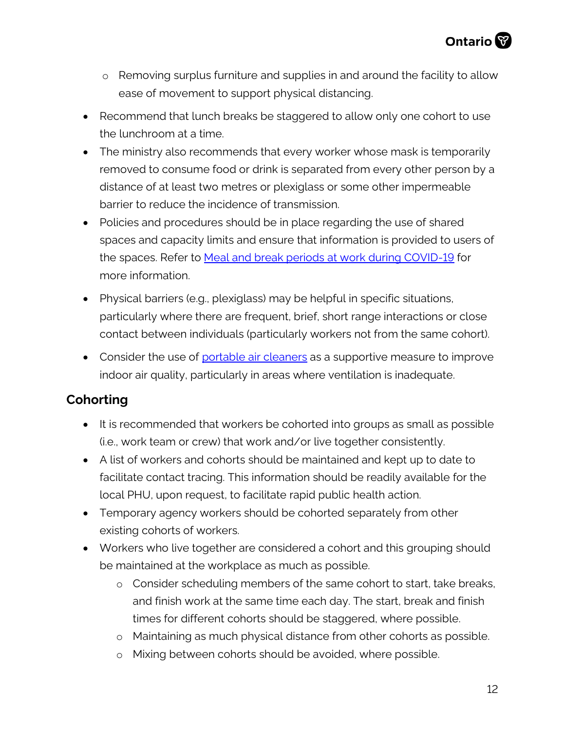- o Removing surplus furniture and supplies in and around the facility to allow ease of movement to support physical distancing.
- Recommend that lunch breaks be staggered to allow only one cohort to use the lunchroom at a time.
- The ministry also recommends that every worker whose mask is temporarily removed to consume food or drink is separated from every other person by a distance of at least two metres or plexiglass or some other impermeable barrier to reduce the incidence of transmission.
- Policies and procedures should be in place regarding the use of shared spaces and capacity limits and ensure that information is provided to users of the spaces. Refer to **Meal and break periods at work during COVID-19** for more information.
- Physical barriers (e.g., plexiglass) may be helpful in specific situations, particularly where there are frequent, brief, short range interactions or close contact between individuals (particularly workers not from the same cohort).
- Consider the use of [portable air cleaners](https://www.publichealthontario.ca/-/media/documents/ncov/ipac/2021/01/faq-covid-19-portable-air-cleaners.pdf?la=en) as a supportive measure to improve indoor air quality, particularly in areas where ventilation is inadequate.

### **Cohorting**

- It is recommended that workers be cohorted into groups as small as possible (i.e., work team or crew) that work and/or live together consistently.
- A list of workers and cohorts should be maintained and kept up to date to facilitate contact tracing. This information should be readily available for the local PHU, upon request, to facilitate rapid public health action.
- Temporary agency workers should be cohorted separately from other existing cohorts of workers.
- Workers who live together are considered a cohort and this grouping should be maintained at the workplace as much as possible.
	- o Consider scheduling members of the same cohort to start, take breaks, and finish work at the same time each day. The start, break and finish times for different cohorts should be staggered, where possible.
	- o Maintaining as much physical distance from other cohorts as possible.
	- o Mixing between cohorts should be avoided, where possible.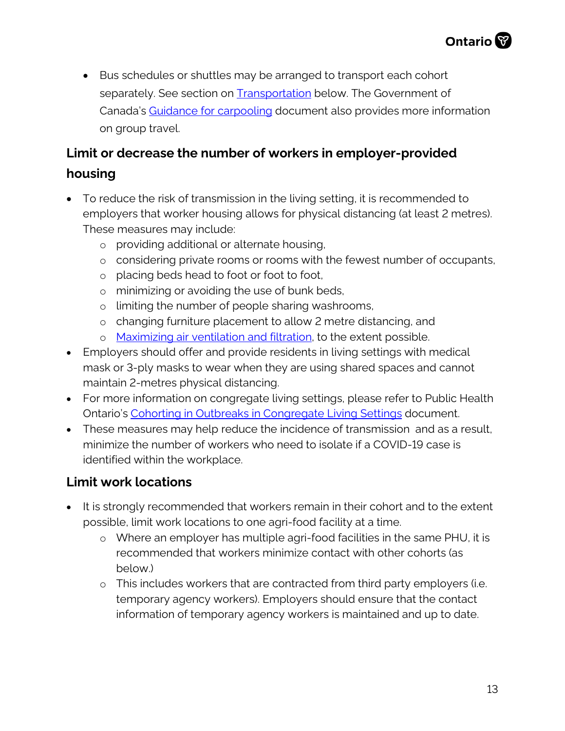• Bus schedules or shuttles may be arranged to transport each cohort separately. See section on **Transportation** below. The Government of Canada's [Guidance for carpooling](https://agriculture.canada.ca/en/canadas-agriculture-sectors/covid-19-information-agriculture-and-agri-food-industry/workplace-guidance#car) document also provides more information on group travel.

## **Limit or decrease the number of workers in employer-provided**

#### **housing**

- To reduce the risk of transmission in the living setting, it is recommended to employers that worker housing allows for physical distancing (at least 2 metres). These measures may include:
	- o providing additional or alternate housing,
	- o considering private rooms or rooms with the fewest number of occupants,
	- o placing beds head to foot or foot to foot,
	- o minimizing or avoiding the use of bunk beds,
	- o limiting the number of people sharing washrooms,
	- o changing furniture placement to allow 2 metre distancing, and
	- o [Maximizing air ventilation and filtration,](https://www.publichealthontario.ca/-/media/documents/ncov/ipac/2021/01/faq-covid-19-portable-air-cleaners.pdf?la=en) to the extent possible.
- Employers should offer and provide residents in living settings with medical mask or 3-ply masks to wear when they are using shared spaces and cannot maintain 2-metres physical distancing.
- For more information on congregate living settings, please refer to Public Health Ontario's [Cohorting in Outbreaks in Congregate Living Settings](https://www.publichealthontario.ca/-/media/documents/ncov/cong/2020/06/focus-on-cohorting-outbreaks-congregate-living-settings.pdf?la=en) document.
- These measures may help reduce the incidence of transmission and as a result, minimize the number of workers who need to isolate if a COVID-19 case is identified within the workplace.

## **Limit work locations**

- It is strongly recommended that workers remain in their cohort and to the extent possible, limit work locations to one agri-food facility at a time.
	- o Where an employer has multiple agri-food facilities in the same PHU, it is recommended that workers minimize contact with other cohorts (as below.)
	- o This includes workers that are contracted from third party employers (i.e. temporary agency workers). Employers should ensure that the contact information of temporary agency workers is maintained and up to date.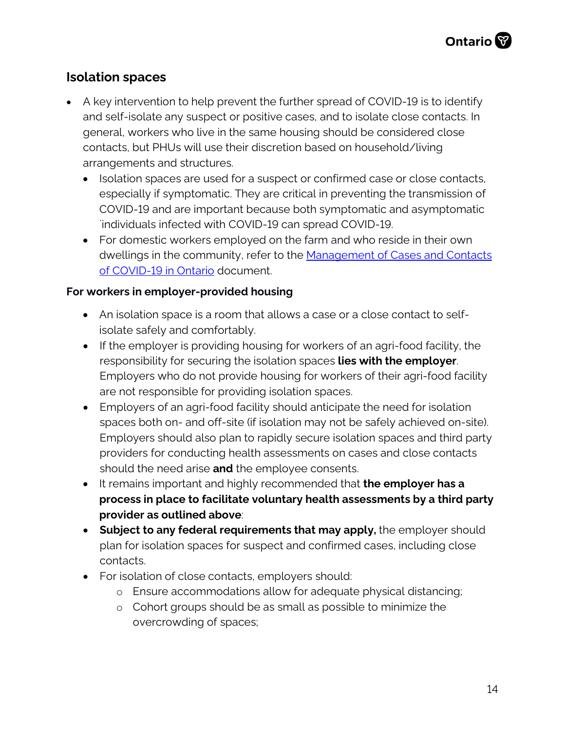### **Isolation spaces**

- A key intervention to help prevent the further spread of COVID-19 is to identify and self-isolate any suspect or positive cases, and to isolate close contacts. In general, workers who live in the same housing should be considered close contacts, but PHUs will use their discretion based on household/living arrangements and structures.
	- Isolation spaces are used for a suspect or confirmed case or close contacts, especially if symptomatic. They are critical in preventing the transmission of COVID-19 and are important because both symptomatic and asymptomatic `individuals infected with COVID-19 can spread COVID-19.
	- For domestic workers employed on the farm and who reside in their own dwellings in the community, refer to the [Management of Cases and Contacts](https://www.health.gov.on.ca/en/pro/programs/publichealth/coronavirus/docs/contact_mngmt/management_cases_contacts.pdf) [of COVID-19 in Ontario](https://www.health.gov.on.ca/en/pro/programs/publichealth/coronavirus/docs/contact_mngmt/management_cases_contacts.pdf) document.

#### **For workers in employer-provided housing**

- An isolation space is a room that allows a case or a close contact to selfisolate safely and comfortably.
- If the employer is providing housing for workers of an agri-food facility, the responsibility for securing the isolation spaces **lies with the employer**. Employers who do not provide housing for workers of their agri-food facility are not responsible for providing isolation spaces.
- Employers of an agri-food facility should anticipate the need for isolation spaces both on- and off-site (if isolation may not be safely achieved on-site). Employers should also plan to rapidly secure isolation spaces and third party providers for conducting health assessments on cases and close contacts should the need arise **and** the employee consents.
- It remains important and highly recommended that **the employer has a process in place to facilitate voluntary health assessments by a third party provider as outlined above**:
- **Subject to any federal requirements that may apply,** the employer should plan for isolation spaces for suspect and confirmed cases, including close contacts.
- For isolation of close contacts, employers should:
	- o Ensure accommodations allow for adequate physical distancing;
	- o Cohort groups should be as small as possible to minimize the overcrowding of spaces;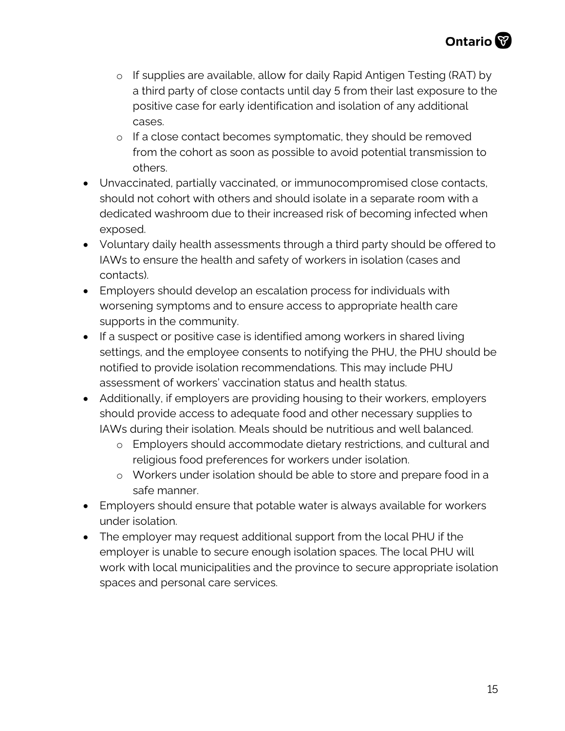- o If supplies are available, allow for daily Rapid Antigen Testing (RAT) by a third party of close contacts until day 5 from their last exposure to the positive case for early identification and isolation of any additional cases.
- o If a close contact becomes symptomatic, they should be removed from the cohort as soon as possible to avoid potential transmission to others.
- Unvaccinated, partially vaccinated, or immunocompromised close contacts, should not cohort with others and should isolate in a separate room with a dedicated washroom due to their increased risk of becoming infected when exposed.
- Voluntary daily health assessments through a third party should be offered to IAWs to ensure the health and safety of workers in isolation (cases and contacts).
- Employers should develop an escalation process for individuals with worsening symptoms and to ensure access to appropriate health care supports in the community.
- If a suspect or positive case is identified among workers in shared living settings, and the employee consents to notifying the PHU, the PHU should be notified to provide isolation recommendations. This may include PHU assessment of workers' vaccination status and health status.
- Additionally, if employers are providing housing to their workers, employers should provide access to adequate food and other necessary supplies to IAWs during their isolation. Meals should be nutritious and well balanced.
	- o Employers should accommodate dietary restrictions, and cultural and religious food preferences for workers under isolation.
	- o Workers under isolation should be able to store and prepare food in a safe manner.
- Employers should ensure that potable water is always available for workers under isolation.
- The employer may request additional support from the local PHU if the employer is unable to secure enough isolation spaces. The local PHU will work with local municipalities and the province to secure appropriate isolation spaces and personal care services.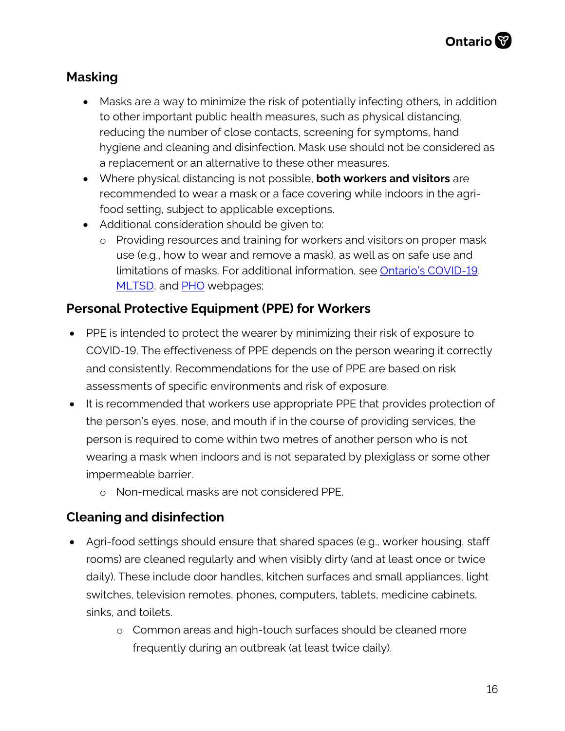#### **Masking**

- Masks are a way to minimize the risk of potentially infecting others, in addition to other important public health measures, such as physical distancing, reducing the number of close contacts, screening for symptoms, hand hygiene and cleaning and disinfection. Mask use should not be considered as a replacement or an alternative to these other measures.
- Where physical distancing is not possible, **both workers and visitors** are recommended to wear a mask or a face covering while indoors in the agrifood setting, subject to applicable exceptions.
- Additional consideration should be given to:
	- o Providing resources and training for workers and visitors on proper mask use (e.g., how to wear and remove a mask), as well as on safe use and limitations of masks. For additional information, see [Ontario's COVID-19,](https://www.ontario.ca/page/face-coverings-and-face-masks) [MLTSD,](https://www.ontario.ca/page/using-masks-workplace) and [PHO](https://www.publichealthontario.ca/-/media/documents/ncov/factsheet/2020/05/factsheet-covid-19-non-medical-masks.pdf?la=en) webpages;

#### **Personal Protective Equipment (PPE) for Workers**

- PPE is intended to protect the wearer by minimizing their risk of exposure to COVID-19. The effectiveness of PPE depends on the person wearing it correctly and consistently. Recommendations for the use of PPE are based on risk assessments of specific environments and risk of exposure.
- It is recommended that workers use appropriate PPE that provides protection of the person's eyes, nose, and mouth if in the course of providing services, the person is required to come within two metres of another person who is not wearing a mask when indoors and is not separated by plexiglass or some other impermeable barrier.
	- o Non-medical masks are not considered PPE.

#### **Cleaning and disinfection**

- Agri-food settings should ensure that shared spaces (e.g., worker housing, staff rooms) are cleaned regularly and when visibly dirty (and at least once or twice daily). These include door handles, kitchen surfaces and small appliances, light switches, television remotes, phones, computers, tablets, medicine cabinets, sinks, and toilets.
	- o Common areas and high-touch surfaces should be cleaned more frequently during an outbreak (at least twice daily).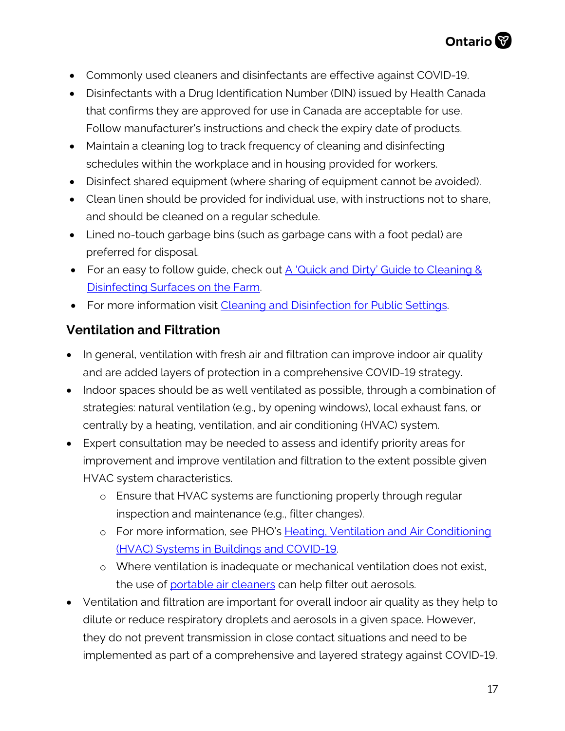- Commonly used cleaners and disinfectants are effective against COVID-19.
- Disinfectants with a Drug Identification Number (DIN) issued by Health Canada that confirms they are approved for use in Canada are acceptable for use. Follow manufacturer's instructions and check the expiry date of products.
- Maintain a cleaning log to track frequency of cleaning and disinfecting schedules within the workplace and in housing provided for workers.
- Disinfect shared equipment (where sharing of equipment cannot be avoided).
- Clean linen should be provided for individual use, with instructions not to share, and should be cleaned on a regular schedule.
- Lined no-touch garbage bins (such as garbage cans with a foot pedal) are preferred for disposal.
- For an easy to follow guide, check out A 'Quick and Dirty' Guide to Cleaning & [Disinfecting Surfaces on the Farm.](https://www.nycamh.org/media/photos/0521/5_clean_disinfect_wip_no_color.jpg)
- For more information visit Cleaning and Disinfection for Public Settings.

#### **Ventilation and Filtration**

- In general, ventilation with fresh air and filtration can improve indoor air quality and are added layers of protection in a comprehensive COVID-19 strategy.
- Indoor spaces should be as well ventilated as possible, through a combination of strategies: natural ventilation (e.g., by opening windows), local exhaust fans, or centrally by a heating, ventilation, and air conditioning (HVAC) system.
- Expert consultation may be needed to assess and identify priority areas for improvement and improve ventilation and filtration to the extent possible given HVAC system characteristics.
	- o Ensure that HVAC systems are functioning properly through regular inspection and maintenance (e.g., filter changes).
	- o For more information, see PHO's Heating, Ventilation and Air Conditioning [\(HVAC\) Systems in Buildings and COVID-19.](https://www.publichealthontario.ca/-/media/documents/ncov/ipac/2020/09/covid-19-hvac-systems-in-buildings.pdf?la=en)
	- o Where ventilation is inadequate or mechanical ventilation does not exist, the use of [portable air cleaners](https://www.publichealthontario.ca/-/media/documents/ncov/ipac/2021/01/faq-covid-19-portable-air-cleaners.pdf?la=en) can help filter out aerosols.
- Ventilation and filtration are important for overall indoor air quality as they help to dilute or reduce respiratory droplets and aerosols in a given space. However, they do not prevent transmission in close contact situations and need to be implemented as part of a comprehensive and layered strategy against COVID-19.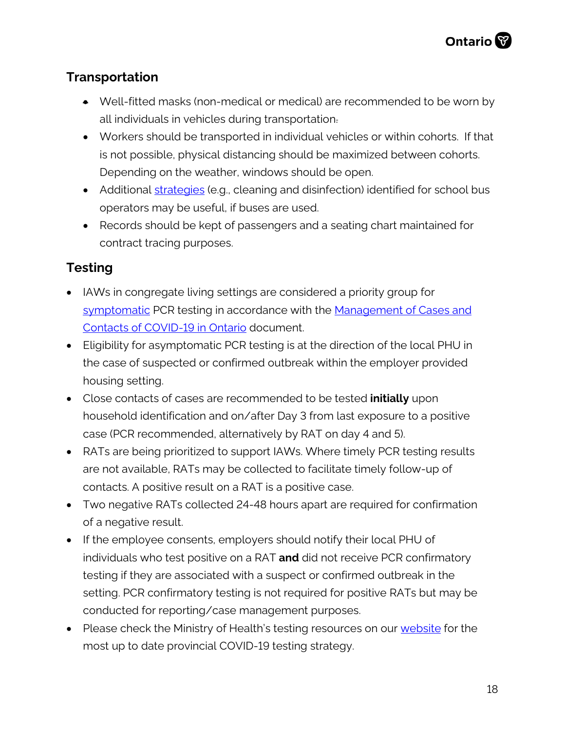### <span id="page-17-0"></span>**Transportation**

- Well-fitted masks (non-medical or medical) are recommended to be worn by all individuals in vehicles during transportation.
- Workers should be transported in individual vehicles or within cohorts. If that is not possible, physical distancing should be maximized between cohorts. Depending on the weather, windows should be open.
- Additional [strategies](https://tc.canada.ca/en/initiatives/covid-19-measures-updates-guidance-issued-transport-canada/federal-guidance-school-bus-operations-during-covid-19-pandemic) (e.g., cleaning and disinfection) identified for school bus operators may be useful, if buses are used.
- Records should be kept of passengers and a seating chart maintained for contract tracing purposes.

### **Testing**

- IAWs in congregate living settings are considered a priority group for [symptomatic](https://www.health.gov.on.ca/en/pro/programs/publichealth/coronavirus/docs/2019_reference_doc_symptoms.pdf) PCR testing in accordance with the Management of Cases and [Contacts of COVID-19 in Ontario](https://www.health.gov.on.ca/en/pro/programs/publichealth/coronavirus/docs/contact_mngmt/management_cases_contacts.pdf) document.
- Eligibility for asymptomatic PCR testing is at the direction of the local PHU in the case of suspected or confirmed outbreak within the employer provided housing setting.
- Close contacts of cases are recommended to be tested **initially** upon household identification and on/after Day 3 from last exposure to a positive case (PCR recommended, alternatively by RAT on day 4 and 5).
- RATs are being prioritized to support IAWs. Where timely PCR testing results are not available, RATs may be collected to facilitate timely follow-up of contacts. A positive result on a RAT is a positive case.
- Two negative RATs collected 24-48 hours apart are required for confirmation of a negative result.
- If the employee consents, employers should notify their local PHU of individuals who test positive on a RAT **and** did not receive PCR confirmatory testing if they are associated with a suspect or confirmed outbreak in the setting. PCR confirmatory testing is not required for positive RATs but may be conducted for reporting/case management purposes.
- Please check the Ministry of Health's testing resources on our [website](http://www.health.gov.on.ca/en/pro/programs/publichealth/coronavirus/2019_guidance.aspx#symptoms) for the most up to date provincial COVID-19 testing strategy.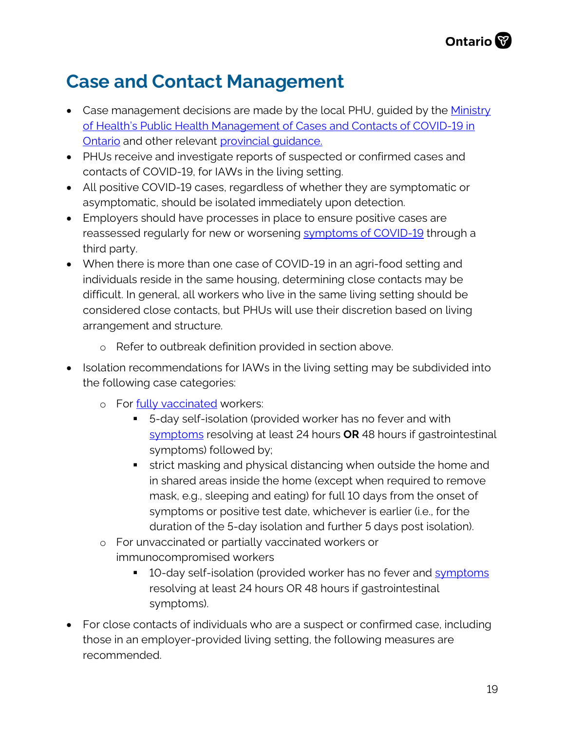## **Case and Contact Management**

- Case management decisions are made by the local PHU, guided by the Ministry [of Health's Public Health Management of Cases and Contacts of COVID-19 in](http://www.health.gov.on.ca/en/pro/programs/publichealth/coronavirus/docs/contact_mngmt/management_cases_contacts.pdf)  [Ontario](http://www.health.gov.on.ca/en/pro/programs/publichealth/coronavirus/docs/contact_mngmt/management_cases_contacts.pdf) and other relevant provincial quidance.
- PHUs receive and investigate reports of suspected or confirmed cases and contacts of COVID-19, for IAWs in the living setting.
- All positive COVID-19 cases, regardless of whether they are symptomatic or asymptomatic, should be isolated immediately upon detection.
- Employers should have processes in place to ensure positive cases are reassessed regularly for new or worsening [symptoms of COVID-19](http://www.health.gov.on.ca/en/pro/programs/publichealth/coronavirus/docs/2019_reference_doc_symptoms.pdf) through a third party.
- When there is more than one case of COVID-19 in an agri-food setting and individuals reside in the same housing, determining close contacts may be difficult. In general, all workers who live in the same living setting should be considered close contacts, but PHUs will use their discretion based on living arrangement and structure.
	- o Refer to outbreak definition provided in section above.
- Isolation recommendations for IAWs in the living setting may be subdivided into the following case categories:
	- o For [fully vaccinated](https://www.health.gov.on.ca/en/pro/programs/publichealth/coronavirus/docs/contact_mngmt/COVID-19_fully_vaccinated_interim_guidance.pdf) workers:
		- 5-day self-isolation (provided worker has no fever and with [symptoms](https://www.health.gov.on.ca/en/pro/programs/publichealth/coronavirus/docs/2019_reference_doc_symptoms.pdf) resolving at least 24 hours **OR** 48 hours if gastrointestinal symptoms) followed by;
		- **strict masking and physical distancing when outside the home and** in shared areas inside the home (except when required to remove mask, e.g., sleeping and eating) for full 10 days from the onset of symptoms or positive test date, whichever is earlier (i.e., for the duration of the 5-day isolation and further 5 days post isolation).
	- o For unvaccinated or partially vaccinated workers or immunocompromised workers
		- **10-day self-isolation (provided worker has no fever and [symptoms](https://www.health.gov.on.ca/en/pro/programs/publichealth/coronavirus/docs/2019_reference_doc_symptoms.pdf)** resolving at least 24 hours OR 48 hours if gastrointestinal symptoms).
- For close contacts of individuals who are a suspect or confirmed case, including those in an employer-provided living setting, the following measures are recommended.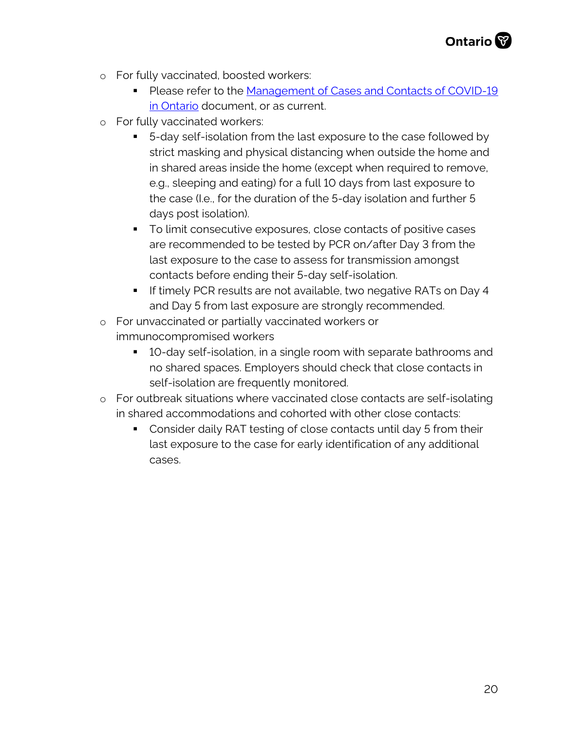- o For fully vaccinated, boosted workers:
	- Please refer to the Management of Cases and Contacts of COVID-19 [in Ontario](https://www.health.gov.on.ca/en/pro/programs/publichealth/coronavirus/docs/contact_mngmt/management_cases_contacts.pdf) document, or as current.
- o For fully vaccinated workers:
	- 5-day self-isolation from the last exposure to the case followed by strict masking and physical distancing when outside the home and in shared areas inside the home (except when required to remove, e.g., sleeping and eating) for a full 10 days from last exposure to the case (I.e., for the duration of the 5-day isolation and further 5 days post isolation).
	- To limit consecutive exposures, close contacts of positive cases are recommended to be tested by PCR on/after Day 3 from the last exposure to the case to assess for transmission amongst contacts before ending their 5-day self-isolation.
	- **If timely PCR results are not available, two negative RATs on Day 4** and Day 5 from last exposure are strongly recommended.
- o For unvaccinated or partially vaccinated workers or immunocompromised workers
	- 10-day self-isolation, in a single room with separate bathrooms and no shared spaces. Employers should check that close contacts in self-isolation are frequently monitored.
- o For outbreak situations where vaccinated close contacts are self-isolating in shared accommodations and cohorted with other close contacts:
	- Consider daily RAT testing of close contacts until day 5 from their last exposure to the case for early identification of any additional cases.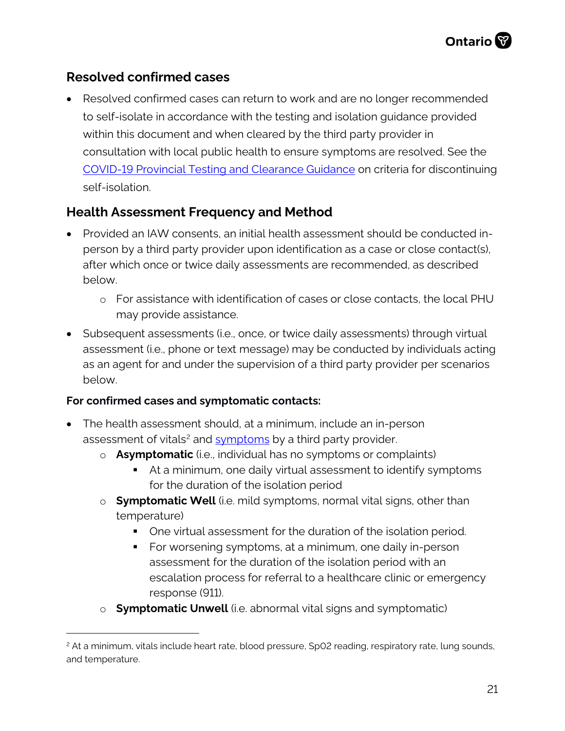#### **Resolved confirmed cases**

• Resolved confirmed cases can return to work and are no longer recommended to self-isolate in accordance with the testing and isolation guidance provided within this document and when cleared by the third party provider in consultation with local public health to ensure symptoms are resolved. See the [COVID-19 Provincial Testing and Clearance Guidance](https://www.health.gov.on.ca/en/pro/programs/publichealth/coronavirus/docs/2019_testing_guidance.pdf) on criteria for discontinuing self-isolation.

#### **Health Assessment Frequency and Method**

- Provided an IAW consents, an initial health assessment should be conducted inperson by a third party provider upon identification as a case or close contact(s), after which once or twice daily assessments are recommended, as described below.
	- o For assistance with identification of cases or close contacts, the local PHU may provide assistance.
- Subsequent assessments (i.e., once, or twice daily assessments) through virtual assessment (i.e., phone or text message) may be conducted by individuals acting as an agent for and under the supervision of a third party provider per scenarios below.

#### **For confirmed cases and symptomatic contacts:**

- The health assessment should, at a minimum, include an in-person assessment of vitals<sup>[2](#page-20-0)</sup> and **symptoms** by a third party provider.
	- o **Asymptomatic** (i.e., individual has no symptoms or complaints)
		- At a minimum, one daily virtual assessment to identify symptoms for the duration of the isolation period
	- o **Symptomatic Well** (i.e. mild symptoms, normal vital signs, other than temperature)
		- One virtual assessment for the duration of the isolation period.
		- For worsening symptoms, at a minimum, one daily in-person assessment for the duration of the isolation period with an escalation process for referral to a healthcare clinic or emergency response (911).
	- o **Symptomatic Unwell** (i.e. abnormal vital signs and symptomatic)

<span id="page-20-0"></span><sup>&</sup>lt;sup>2</sup> At a minimum, vitals include heart rate, blood pressure, Sp02 reading, respiratory rate, lung sounds, and temperature.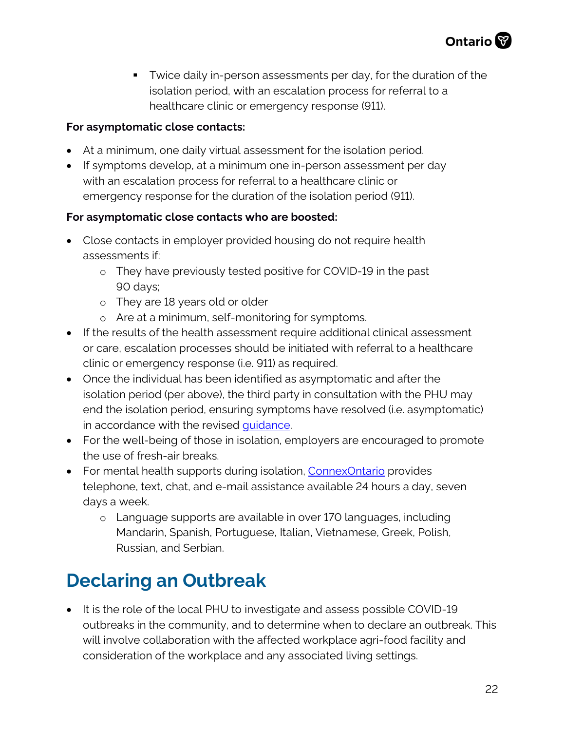**Twice daily in-person assessments per day, for the duration of the** isolation period, with an escalation process for referral to a healthcare clinic or emergency response (911).

#### **For asymptomatic close contacts:**

- At a minimum, one daily virtual assessment for the isolation period.
- If symptoms develop, at a minimum one in-person assessment per day with an escalation process for referral to a healthcare clinic or emergency response for the duration of the isolation period (911).

#### **For asymptomatic close contacts who are boosted:**

- Close contacts in employer provided housing do not require health assessments if:
	- o They have previously tested positive for COVID-19 in the past 90 days;
	- o They are 18 years old or older
	- o Are at a minimum, self-monitoring for [symptoms.](https://www.health.gov.on.ca/en/pro/programs/publichealth/coronavirus/docs/2019_reference_doc_symptoms.pdf)
- If the results of the health assessment require additional clinical assessment or care, escalation processes should be initiated with referral to a healthcare clinic or emergency response (i.e. 911) as required.
- Once the individual has been identified as asymptomatic and after the isolation period (per above), the third party in consultation with the PHU may end the isolation period, ensuring symptoms have resolved (i.e. asymptomatic) in accordance with the revised [guidance.](https://www.health.gov.on.ca/en/pro/programs/publichealth/coronavirus/docs/contact_mngmt/management_cases_contacts_omicron.pdf)
- For the well-being of those in isolation, employers are encouraged to promote the use of fresh-air breaks.
- For mental health supports during isolation, Connex Ontario provides telephone, text, chat, and e-mail assistance available 24 hours a day, seven days a week.
	- o Language supports are available in over 170 languages, including Mandarin, Spanish, Portuguese, Italian, Vietnamese, Greek, Polish, Russian, and Serbian.

## **Declaring an Outbreak**

• It is the role of the local PHU to investigate and assess possible COVID-19 outbreaks in the community, and to determine when to declare an outbreak. This will involve collaboration with the affected workplace agri-food facility and consideration of the workplace and any associated living settings.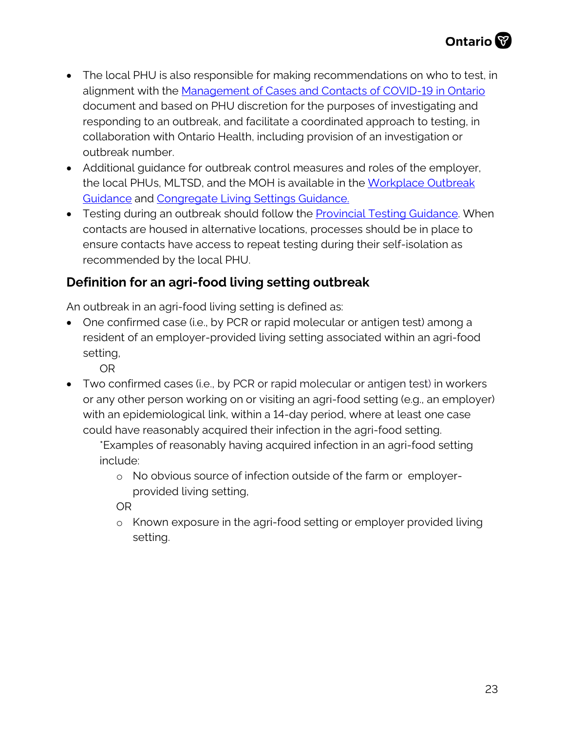- The local PHU is also responsible for making recommendations on who to test, in alignment with the [Management of Cases and Contacts of COVID-19 in Ontario](https://www.health.gov.on.ca/en/pro/programs/publichealth/coronavirus/docs/contact_mngmt/management_cases_contacts.pdf) document and based on PHU discretion for the purposes of investigating and responding to an outbreak, and facilitate a coordinated approach to testing, in collaboration with Ontario Health, including provision of an investigation or outbreak number.
- Additional guidance for outbreak control measures and roles of the employer, the local PHUs, MLTSD, and the MOH is available in the [Workplace Outbreak](http://www.health.gov.on.ca/en/pro/programs/publichealth/coronavirus/docs/2019_workplace_outbreak_guidance.pdf)  [Guidance](http://www.health.gov.on.ca/en/pro/programs/publichealth/coronavirus/docs/2019_workplace_outbreak_guidance.pdf) and [Congregate Living Settings Guidance.](http://www.health.gov.on.ca/en/pro/programs/publichealth/coronavirus/docs/2019_congregate_living_guidance.pdf)
- Testing during an outbreak should follow the [Provincial Testing Guidance.](http://www.health.gov.on.ca/en/pro/programs/publichealth/coronavirus/docs/2019_testing_guidance.pdf) When contacts are housed in alternative locations, processes should be in place to ensure contacts have access to repeat testing during their self-isolation as recommended by the local PHU.

### **Definition for an agri-food living setting outbreak**

An outbreak in an agri-food living setting is defined as:

• One confirmed case (i.e., by PCR or rapid molecular or antigen test) among a resident of an employer-provided living setting associated within an agri-food setting,

OR

• Two confirmed cases (i.e., by PCR or rapid molecular or antigen test) in workers or any other person working on or visiting an agri-food setting (e.g., an employer) with an epidemiological link, within a 14-day period, where at least one case could have reasonably acquired their infection in the agri-food setting.

\*Examples of reasonably having acquired infection in an agri-food setting include:

o No obvious source of infection outside of the farm or employerprovided living setting,

OR

o Known exposure in the agri-food setting or employer provided living setting.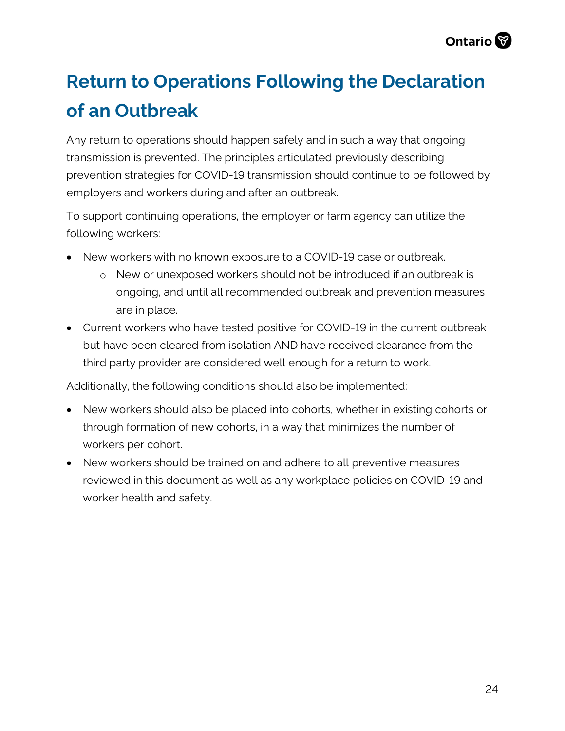## **Return to Operations Following the Declaration of an Outbreak**

Any return to operations should happen safely and in such a way that ongoing transmission is prevented. The principles articulated previously describing prevention strategies for COVID-19 transmission should continue to be followed by employers and workers during and after an outbreak.

To support continuing operations, the employer or farm agency can utilize the following workers:

- New workers with no known exposure to a COVID-19 case or outbreak.
	- o New or unexposed workers should not be introduced if an outbreak is ongoing, and until all recommended outbreak and prevention measures are in place.
- Current workers who have tested positive for COVID-19 in the current outbreak but have been cleared from isolation AND have received clearance from the third party provider are considered well enough for a return to work.

Additionally, the following conditions should also be implemented:

- New workers should also be placed into cohorts, whether in existing cohorts or through formation of new cohorts, in a way that minimizes the number of workers per cohort.
- New workers should be trained on and adhere to all preventive measures reviewed in this document as well as any workplace policies on COVID-19 and worker health and safety.